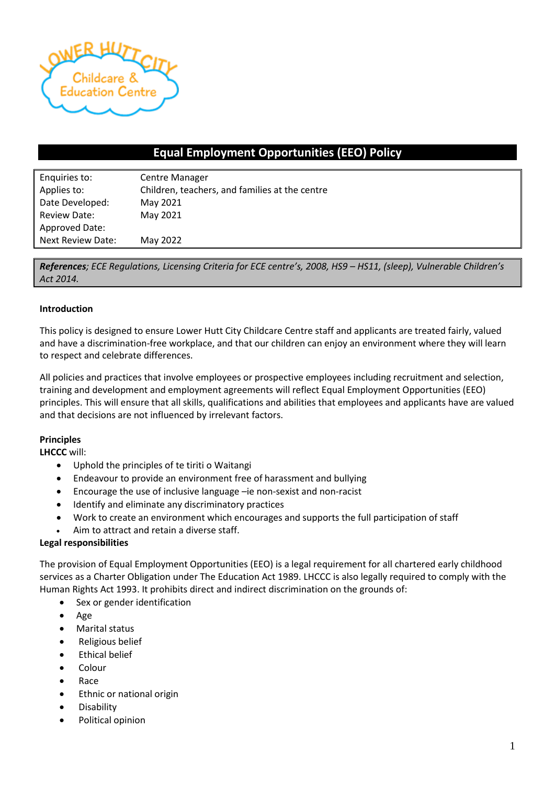

# **Equal Employment Opportunities (EEO) Policy**

| Enquiries to:       | <b>Centre Manager</b>                          |  |  |
|---------------------|------------------------------------------------|--|--|
| Applies to:         | Children, teachers, and families at the centre |  |  |
| Date Developed:     | May 2021                                       |  |  |
| <b>Review Date:</b> | May 2021                                       |  |  |
| Approved Date:      |                                                |  |  |
| Next Review Date:   | May 2022                                       |  |  |

*References; ECE Regulations, Licensing Criteria for ECE centre's, 2008, HS9 – HS11, (sleep), Vulnerable Children's Act 2014.* 

#### **Introduction**

This policy is designed to ensure Lower Hutt City Childcare Centre staff and applicants are treated fairly, valued and have a discrimination-free workplace, and that our children can enjoy an environment where they will learn to respect and celebrate differences.

All policies and practices that involve employees or prospective employees including recruitment and selection, training and development and employment agreements will reflect Equal Employment Opportunities (EEO) principles. This will ensure that all skills, qualifications and abilities that employees and applicants have are valued and that decisions are not influenced by irrelevant factors.

#### **Principles**

**LHCCC** will:

- Uphold the principles of te tiriti o Waitangi
- Endeavour to provide an environment free of harassment and bullying
- Encourage the use of inclusive language –ie non-sexist and non-racist
- Identify and eliminate any discriminatory practices
- Work to create an environment which encourages and supports the full participation of staff
- Aim to attract and retain a diverse staff.

#### **Legal responsibilities**

The provision of Equal Employment Opportunities (EEO) is a legal requirement for all chartered early childhood services as a Charter Obligation under The Education Act 1989. LHCCC is also legally required to comply with the Human Rights Act 1993. It prohibits direct and indirect discrimination on the grounds of:

- Sex or gender identification
- Age
- Marital status
- Religious belief
- Ethical belief
- Colour
- Race
- Ethnic or national origin
- Disability
- Political opinion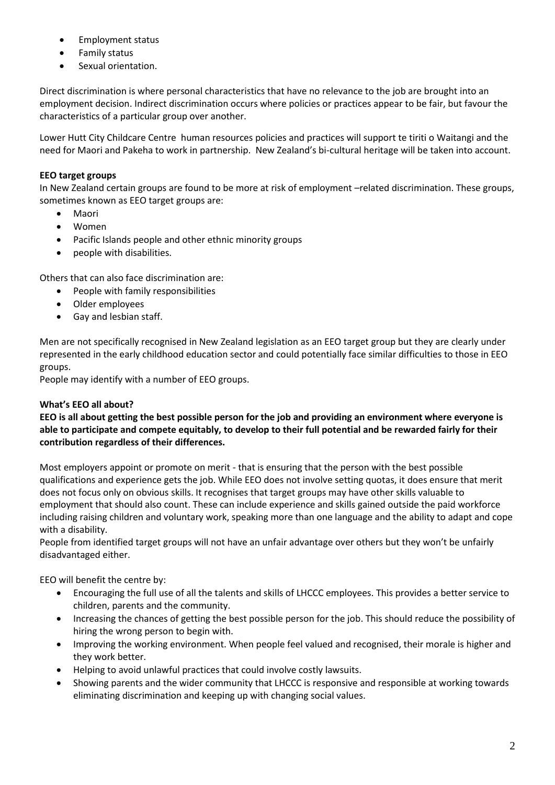- Employment status
- Family status
- Sexual orientation.

Direct discrimination is where personal characteristics that have no relevance to the job are brought into an employment decision. Indirect discrimination occurs where policies or practices appear to be fair, but favour the characteristics of a particular group over another.

Lower Hutt City Childcare Centre human resources policies and practices will support te tiriti o Waitangi and the need for Maori and Pakeha to work in partnership. New Zealand's bi-cultural heritage will be taken into account.

## **EEO target groups**

In New Zealand certain groups are found to be more at risk of employment –related discrimination. These groups, sometimes known as EEO target groups are:

- Maori
- Women
- Pacific Islands people and other ethnic minority groups
- people with disabilities.

Others that can also face discrimination are:

- People with family responsibilities
- Older employees
- Gay and lesbian staff.

Men are not specifically recognised in New Zealand legislation as an EEO target group but they are clearly under represented in the early childhood education sector and could potentially face similar difficulties to those in EEO groups.

People may identify with a number of EEO groups.

### **What's EEO all about?**

**EEO is all about getting the best possible person for the job and providing an environment where everyone is able to participate and compete equitably, to develop to their full potential and be rewarded fairly for their contribution regardless of their differences.**

Most employers appoint or promote on merit - that is ensuring that the person with the best possible qualifications and experience gets the job. While EEO does not involve setting quotas, it does ensure that merit does not focus only on obvious skills. It recognises that target groups may have other skills valuable to employment that should also count. These can include experience and skills gained outside the paid workforce including raising children and voluntary work, speaking more than one language and the ability to adapt and cope with a disability.

People from identified target groups will not have an unfair advantage over others but they won't be unfairly disadvantaged either.

EEO will benefit the centre by:

- Encouraging the full use of all the talents and skills of LHCCC employees. This provides a better service to children, parents and the community.
- Increasing the chances of getting the best possible person for the job. This should reduce the possibility of hiring the wrong person to begin with.
- Improving the working environment. When people feel valued and recognised, their morale is higher and they work better.
- Helping to avoid unlawful practices that could involve costly lawsuits.
- Showing parents and the wider community that LHCCC is responsive and responsible at working towards eliminating discrimination and keeping up with changing social values.